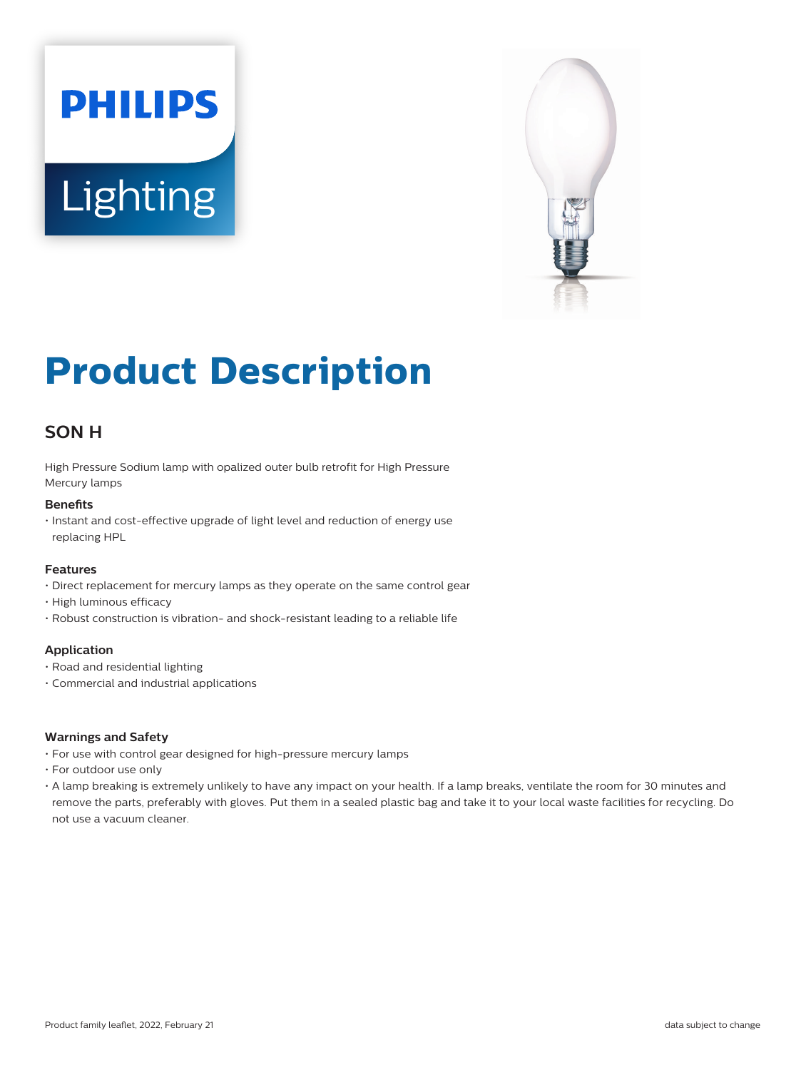# **PHILIPS** Lighting



# **Product Description**

# **SON H**

High Pressure Sodium lamp with opalized outer bulb retrofit for High Pressure Mercury lamps

# **Benefits**

• Instant and cost-effective upgrade of light level and reduction of energy use replacing HPL

# **Features**

- Direct replacement for mercury lamps as they operate on the same control gear
- High luminous efficacy
- Robust construction is vibration- and shock-resistant leading to a reliable life

# **Application**

- Road and residential lighting
- Commercial and industrial applications

# **Warnings and Safety**

- For use with control gear designed for high-pressure mercury lamps
- For outdoor use only
- A lamp breaking is extremely unlikely to have any impact on your health. If a lamp breaks, ventilate the room for 30 minutes and remove the parts, preferably with gloves. Put them in a sealed plastic bag and take it to your local waste facilities for recycling. Do not use a vacuum cleaner.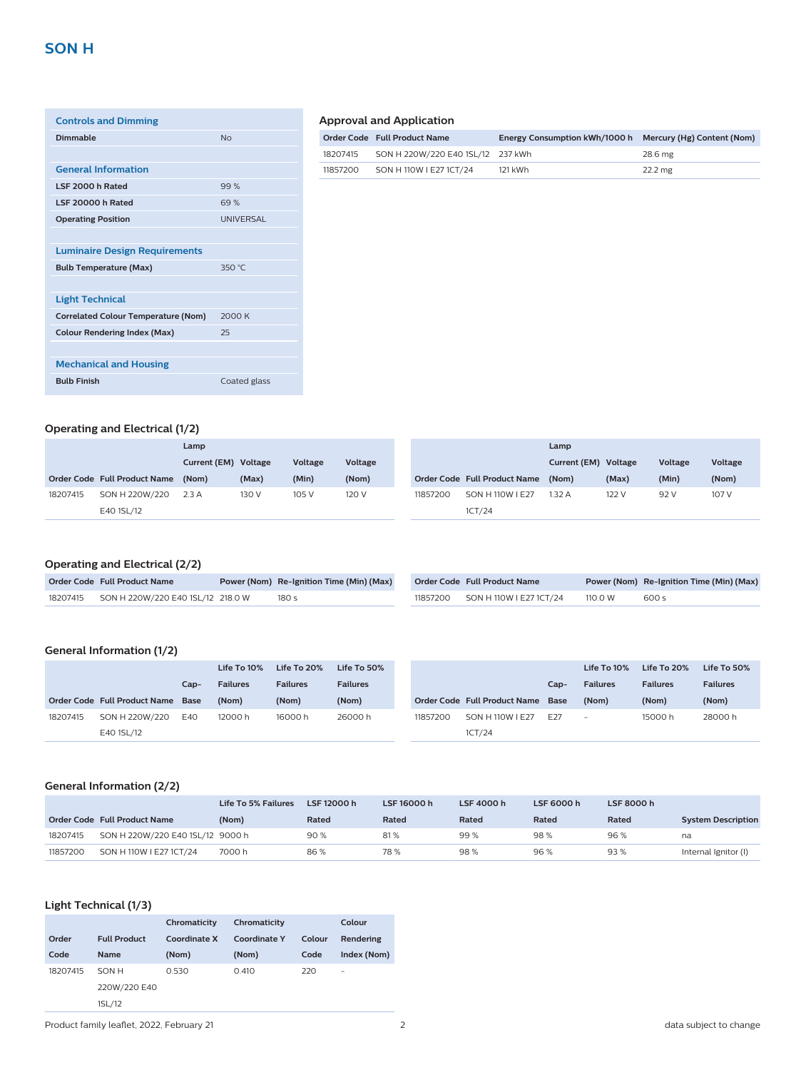| <b>Controls and Dimming</b>                |                  |
|--------------------------------------------|------------------|
| Dimmable                                   | No               |
|                                            |                  |
| <b>General Information</b>                 |                  |
| LSF 2000 h Rated                           | 99%              |
| LSF 20000 h Rated                          | 69%              |
| <b>Operating Position</b>                  | <b>UNIVERSAL</b> |
|                                            |                  |
| <b>Luminaire Design Requirements</b>       |                  |
| <b>Bulb Temperature (Max)</b>              | 350 °C           |
|                                            |                  |
| <b>Light Technical</b>                     |                  |
| <b>Correlated Colour Temperature (Nom)</b> | 2000 K           |
| <b>Colour Rendering Index (Max)</b>        | 25               |
|                                            |                  |
| <b>Mechanical and Housing</b>              |                  |
| <b>Bulb Finish</b>                         | Coated glass     |
|                                            |                  |

## **Approval and Application**

|          | Order Code Full Product Name      | Energy Consumption kWh/1000 h Mercury (Hg) Content (Nom) |         |
|----------|-----------------------------------|----------------------------------------------------------|---------|
| 18207415 | SON H 220W/220 E40 1SL/12 237 kWh |                                                          | 28.6 mg |
| 11857200 | SON H 110W I E27 1CT/24           | 121 kWh                                                  | 22.2 mg |

# **Operating and Electrical (1/2)**

|          | Lamp                         |                      |       |         |         |  | Lamp     |                              |       |                         |         |
|----------|------------------------------|----------------------|-------|---------|---------|--|----------|------------------------------|-------|-------------------------|---------|
|          |                              | Current (EM) Voltage |       | Voltage | Voltage |  |          |                              |       | Voltage<br>Current (EM) | Voltage |
|          | Order Code Full Product Name | (Nom)                | (Max) | (Min)   | (Nom)   |  |          | Order Code Full Product Name | (Nom) | (Max)                   | (Min)   |
| 18207415 | SON H 220W/220               | 2.3A                 | 130 V | 105 V   | 120 V   |  | 11857200 | SON H 110W I E27             | 1.32A | 122 V                   | 92 V    |
|          | E40 1SL/12                   |                      |       |         |         |  |          | 1CT/24                       |       |                         |         |

# **Operating and Electrical (2/2)**

| Order Code Full Product Name               | Power (Nom) Re-Ignition Time (Min) (Max) | Order Code Full Product Name     |         | Power (Nom) Re-Ignition Time (Min) (Max) |
|--------------------------------------------|------------------------------------------|----------------------------------|---------|------------------------------------------|
| 18207415 SON H 220W/220 E40 1SL/12 218.0 W | 180 s                                    | 11857200 SON H 110W I E27 1CT/24 | 110.0 W | 600 s                                    |

# **General Information (1/2)**

|          |                                   |      | Life To 10%     | Life To 20%     | Life To 50%     |          |                                   |                 | Life To 10%              | Life To 20%     | Life To 50%     |
|----------|-----------------------------------|------|-----------------|-----------------|-----------------|----------|-----------------------------------|-----------------|--------------------------|-----------------|-----------------|
|          |                                   | Cap- | <b>Failures</b> | <b>Failures</b> | <b>Failures</b> |          |                                   | Cap-            | <b>Failures</b>          | <b>Failures</b> | <b>Failures</b> |
|          | Order Code Full Product Name Base |      | (Nom)           | (Nom)           | (Nom)           |          | Order Code Full Product Name Base |                 | (Nom)                    | (Nom)           | (Nom)           |
| 18207415 | SON H 220W/220                    | E40  | 12000 h         | 16000 h         | 26000h          | 11857200 | SON H 110W I E27                  | F <sub>27</sub> | $\overline{\phantom{a}}$ | 15000h          | 28000h          |
|          | E40 1SL/12                        |      |                 |                 |                 |          | 1CT/24                            |                 |                          |                 |                 |

# **General Information (2/2)**

|          |                                  | Life To 5% Failures | LSF 12000 h | LSF 16000 h | LSF 4000 h | LSF 6000 h | LSF 8000 h |                           |
|----------|----------------------------------|---------------------|-------------|-------------|------------|------------|------------|---------------------------|
|          | Order Code Full Product Name     | (Nom)               | Rated       | Rated       | Rated      | Rated      | Rated      | <b>System Description</b> |
| 18207415 | SON H 220W/220 E40 1SL/12 9000 h |                     | 90%         | 81%         | 99%        | 98%        | 96%        | na                        |
| 11857200 | SON H 110W   E27 1CT/24          | 7000 h              | 86%         | 78%         | 98%        | 96%        | 93%        | Internal Ignitor (I)      |

# **Light Technical (1/3)**

|          |                     | Chromaticity | Chromaticity        |        | Colour      |
|----------|---------------------|--------------|---------------------|--------|-------------|
| Order    | <b>Full Product</b> | Coordinate X | <b>Coordinate Y</b> | Colour | Rendering   |
| Code     | <b>Name</b>         | (Nom)        | (Nom)               | Code   | Index (Nom) |
| 18207415 | SON H               | 0.530        | 0.410               | 220    | ۰           |
|          | 220W/220 E40        |              |                     |        |             |
|          | 1SL/12              |              |                     |        |             |